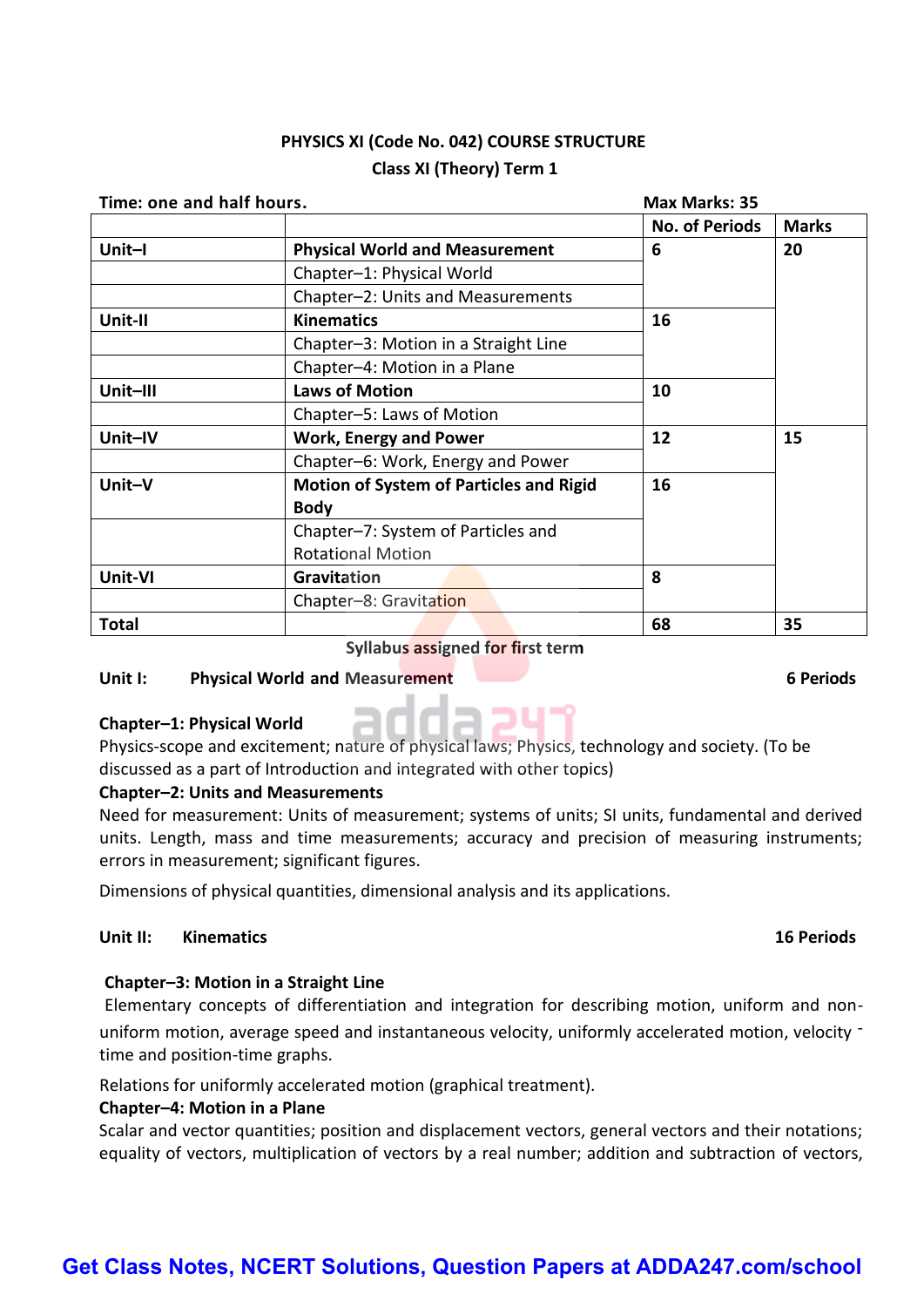# **PHYSICS XI (Code No. 042) COURSE STRUCTURE Class XI (Theory) Term 1**

| Time: one and half hours. |                                                | <b>Max Marks: 35</b>  |              |
|---------------------------|------------------------------------------------|-----------------------|--------------|
|                           |                                                | <b>No. of Periods</b> | <b>Marks</b> |
| Unit-I                    | <b>Physical World and Measurement</b>          | 6                     | 20           |
|                           | Chapter-1: Physical World                      |                       |              |
|                           | Chapter-2: Units and Measurements              |                       |              |
| Unit-II                   | <b>Kinematics</b>                              | 16                    |              |
|                           | Chapter-3: Motion in a Straight Line           |                       |              |
|                           | Chapter-4: Motion in a Plane                   |                       |              |
| Unit-III                  | <b>Laws of Motion</b>                          | 10                    |              |
|                           | Chapter-5: Laws of Motion                      |                       |              |
| Unit-IV                   | <b>Work, Energy and Power</b>                  | 12                    | 15           |
|                           | Chapter-6: Work, Energy and Power              |                       |              |
| Unit-V                    | <b>Motion of System of Particles and Rigid</b> | 16                    |              |
|                           | <b>Body</b>                                    |                       |              |
|                           | Chapter-7: System of Particles and             |                       |              |
|                           | <b>Rotational Motion</b>                       |                       |              |
| Unit-VI                   | <b>Gravitation</b>                             | 8                     |              |
|                           | Chapter-8: Gravitation                         |                       |              |
| <b>Total</b>              |                                                | 68                    | 35           |

**Syllabus assigned for first term**

# **Unit I: Physical World and Measurement 6 Periods**

# **Chapter–1: Physical World**

Physics-scope and excitement; nature of physical laws; Physics, technology and society. (To be discussed as a part of Introduction and integrated with other topics)

# **Chapter–2: Units and Measurements**

Need for measurement: Units of measurement; systems of units; SI units, fundamental and derived units. Length, mass and time measurements; accuracy and precision of measuring instruments; errors in measurement; significant figures.

Dimensions of physical quantities, dimensional analysis and its applications.

# **Unit II: Kinematics 16 Periods**

# **Chapter–3: Motion in a Straight Line**

Elementary concepts of differentiation and integration for describing motion, uniform and nonuniform motion, average speed and instantaneous velocity, uniformly accelerated motion, velocity time and position-time graphs.

Relations for uniformly accelerated motion (graphical treatment).

# **Chapter–4: Motion in a Plane**

Scalar and vector quantities; position and displacement vectors, general vectors and their notations; equality of vectors, multiplication of vectors by a real number; addition and subtraction of vectors,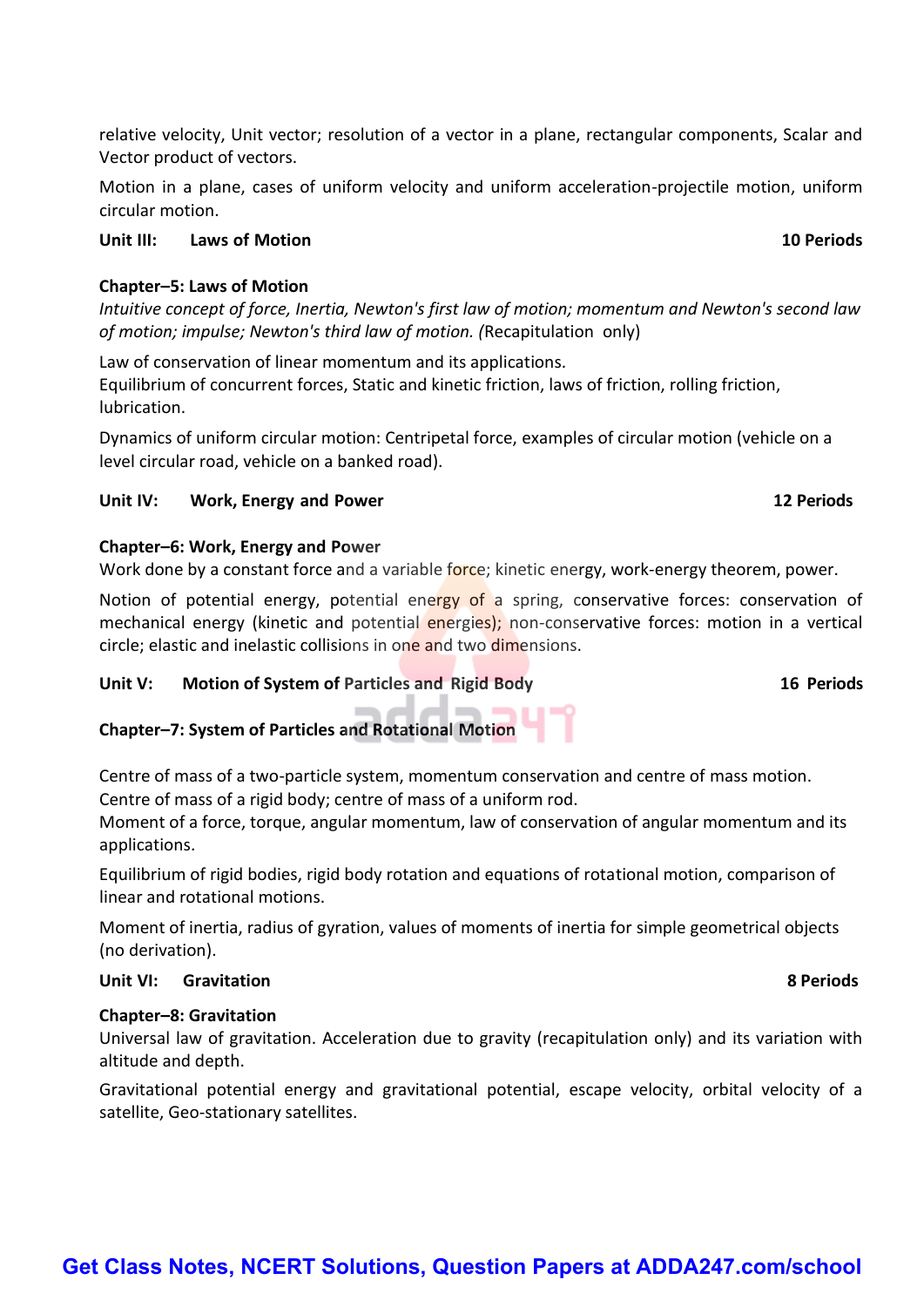relative velocity, Unit vector; resolution of a vector in a plane, rectangular components, Scalar and Vector product of vectors.

Motion in a plane, cases of uniform velocity and uniform acceleration-projectile motion, uniform circular motion.

# **Unit III: Laws of Motion 10 Periods**

# **Chapter–5: Laws of Motion**

*Intuitive concept of force, Inertia, Newton's first law of motion; momentum and Newton's second law of motion; impulse; Newton's third law of motion. (*Recapitulation only)

Law of conservation of linear momentum and its applications. Equilibrium of concurrent forces, Static and kinetic friction, laws of friction, rolling friction, lubrication.

Dynamics of uniform circular motion: Centripetal force, examples of circular motion (vehicle on a level circular road, vehicle on a banked road).

# **Unit IV: Work, Energy and Power 12 Periods**

# **Chapter–6: Work, Energy and Power**

Work done by a constant force and a variable force; kinetic energy, work-energy theorem, power.

Notion of potential energy, potential energy of a spring, conservative forces: conservation of mechanical energy (kinetic and potential energies); non-conservative forces: motion in a vertical circle; elastic and inelastic collisions in one and two dimensions.

# **Unit V: Motion of System of Particles and Rigid Body 16 Periods**

# **Chapter–7: System of Particles and Rotational Motion**

Centre of mass of a two-particle system, momentum conservation and centre of mass motion. Centre of mass of a rigid body; centre of mass of a uniform rod.

Moment of a force, torque, angular momentum, law of conservation of angular momentum and its applications.

Equilibrium of rigid bodies, rigid body rotation and equations of rotational motion, comparison of linear and rotational motions.

Moment of inertia, radius of gyration, values of moments of inertia for simple geometrical objects (no derivation).

# **Unit VI: Gravitation 8 Periods**

# **Chapter–8: Gravitation**

Universal law of gravitation. Acceleration due to gravity (recapitulation only) and its variation with altitude and depth.

Gravitational potential energy and gravitational potential, escape velocity, orbital velocity of a satellite, Geo-stationary satellites.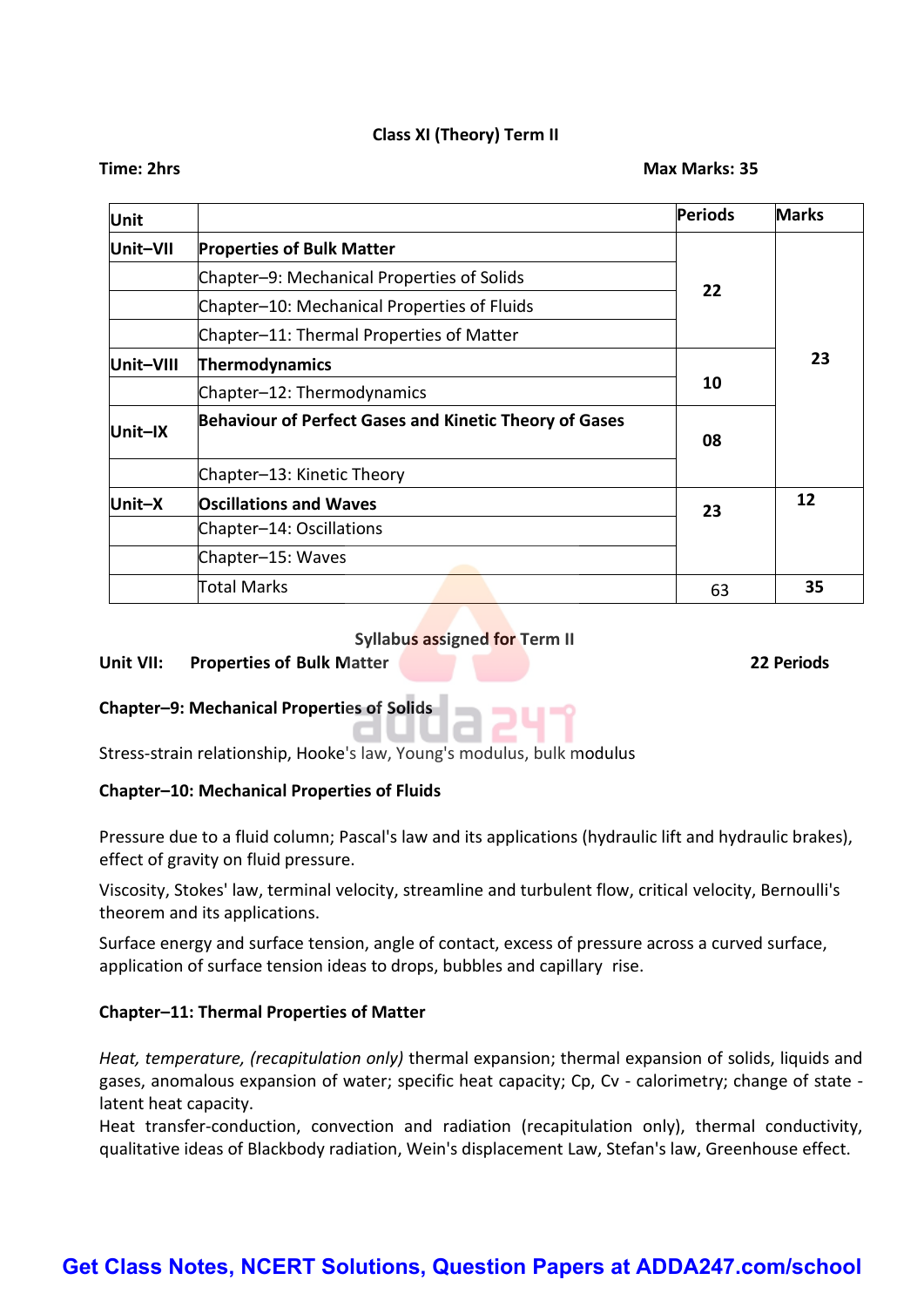# **Class XI (Theory) Term II**

| Unit      |                                                               | <b>Periods</b> | <b>Marks</b> |
|-----------|---------------------------------------------------------------|----------------|--------------|
| Unit-VII  | <b>Properties of Bulk Matter</b>                              |                |              |
|           | Chapter-9: Mechanical Properties of Solids                    |                |              |
|           | Chapter-10: Mechanical Properties of Fluids                   | 22             |              |
|           | Chapter-11: Thermal Properties of Matter                      |                |              |
| Unit-VIII | Thermodynamics                                                |                | 23           |
|           | Chapter-12: Thermodynamics                                    | 10             |              |
| Unit-IX   | <b>Behaviour of Perfect Gases and Kinetic Theory of Gases</b> | 08             |              |
|           | Chapter-13: Kinetic Theory                                    |                |              |
| Unit-X    | <b>Oscillations and Waves</b>                                 | 23             | 12           |
|           | Chapter-14: Oscillations                                      |                |              |
|           | Chapter-15: Waves                                             |                |              |
|           | <b>Total Marks</b>                                            | 63             | 35           |

# **Syllabus assigned for Term II**

# **Unit VII: Properties of Bulk Matter 22 Periods**

**Chapter–9: Mechanical Properties of Solids**

Stress-strain relationship, Hooke's law, Young's modulus, bulk modulus

# **Chapter–10: Mechanical Properties of Fluids**

Pressure due to a fluid column; Pascal's law and its applications (hydraulic lift and hydraulic brakes), effect of gravity on fluid pressure.

Viscosity, Stokes' law, terminal velocity, streamline and turbulent flow, critical velocity, Bernoulli's theorem and its applications.

Surface energy and surface tension, angle of contact, excess of pressure across a curved surface, application of surface tension ideas to drops, bubbles and capillary rise.

# **Chapter–11: Thermal Properties of Matter**

*Heat, temperature, (recapitulation only)* thermal expansion; thermal expansion of solids, liquids and gases, anomalous expansion of water; specific heat capacity; Cp, Cv - calorimetry; change of state latent heat capacity.

Heat transfer-conduction, convection and radiation (recapitulation only), thermal conductivity, qualitative ideas of Blackbody radiation, Wein's displacement Law, Stefan's law, Greenhouse effect.

# **[Get Class Notes, NCERT Solutions, Question Papers at ADDA247.com/school](https://rebrand.ly/syllabus-pdf)**

**Time: 2hrs Max Marks: 35**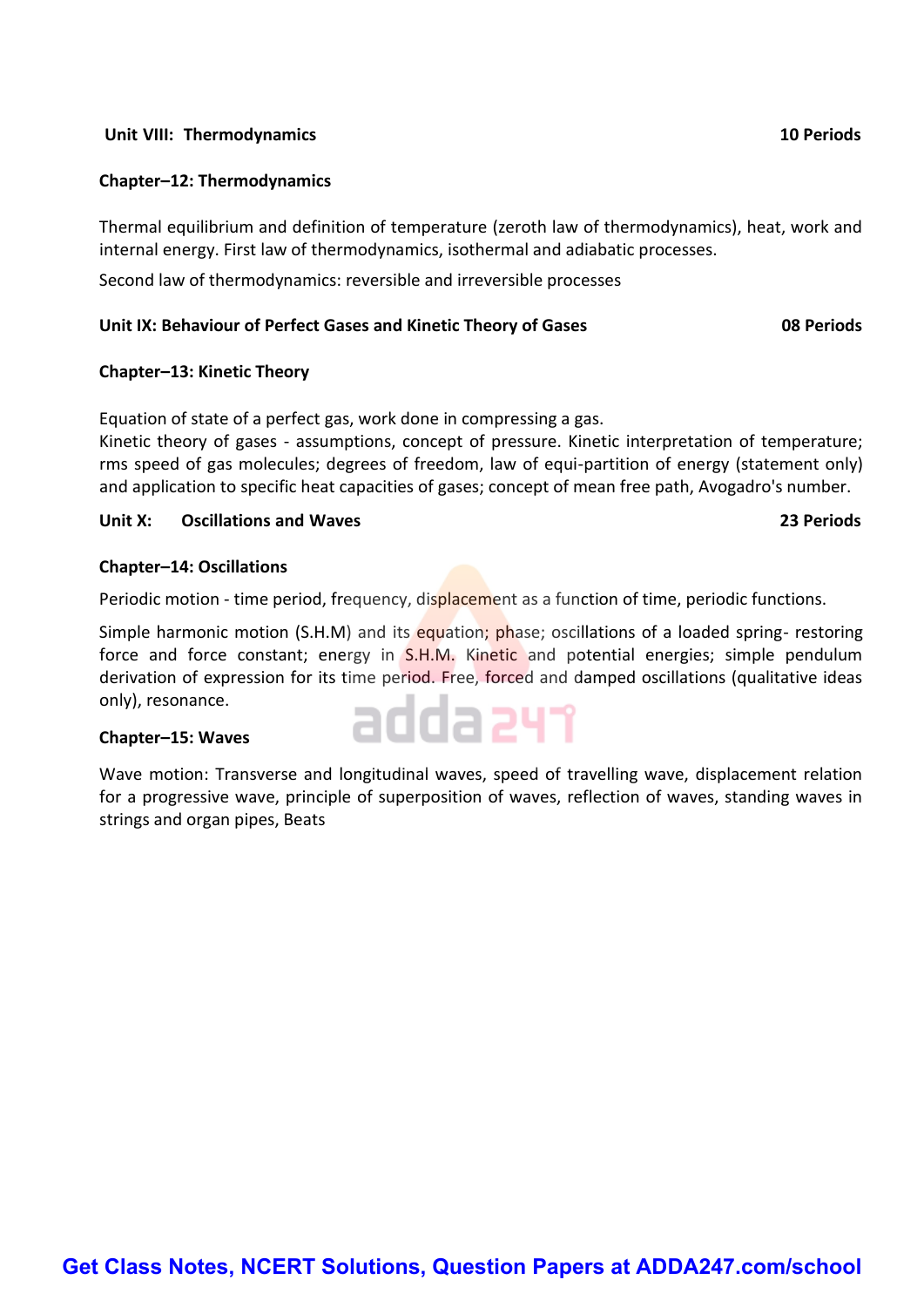# **Unit VIII: Thermodynamics 10 Periods**

# **Chapter–12: Thermodynamics**

Thermal equilibrium and definition of temperature (zeroth law of thermodynamics), heat, work and internal energy. First law of thermodynamics, isothermal and adiabatic processes.

Second law of thermodynamics: reversible and irreversible processes

# **Unit IX: Behaviour of Perfect Gases and Kinetic Theory of Gases 08 Periods**

# **Chapter–13: Kinetic Theory**

Equation of state of a perfect gas, work done in compressing a gas.

Kinetic theory of gases - assumptions, concept of pressure. Kinetic interpretation of temperature; rms speed of gas molecules; degrees of freedom, law of equi-partition of energy (statement only) and application to specific heat capacities of gases; concept of mean free path, Avogadro's number.

# **Unit X: Oscillations and Waves 23 Periods**

# **Chapter–14: Oscillations**

Periodic motion - time period, frequency, displacement as a function of time, periodic functions.

Simple harmonic motion (S.H.M) and its equation; phase; oscillations of a loaded spring- restoring force and force constant; energy in S.H.M. Kinetic and potential energies; simple pendulum derivation of expression for its time period. Free, forced and damped oscillations (qualitative ideas only), resonance.

# **Chapter–15: Waves**

Wave motion: Transverse and longitudinal waves, speed of travelling wave, displacement relation for a progressive wave, principle of superposition of waves, reflection of waves, standing waves in strings and organ pipes, Beats

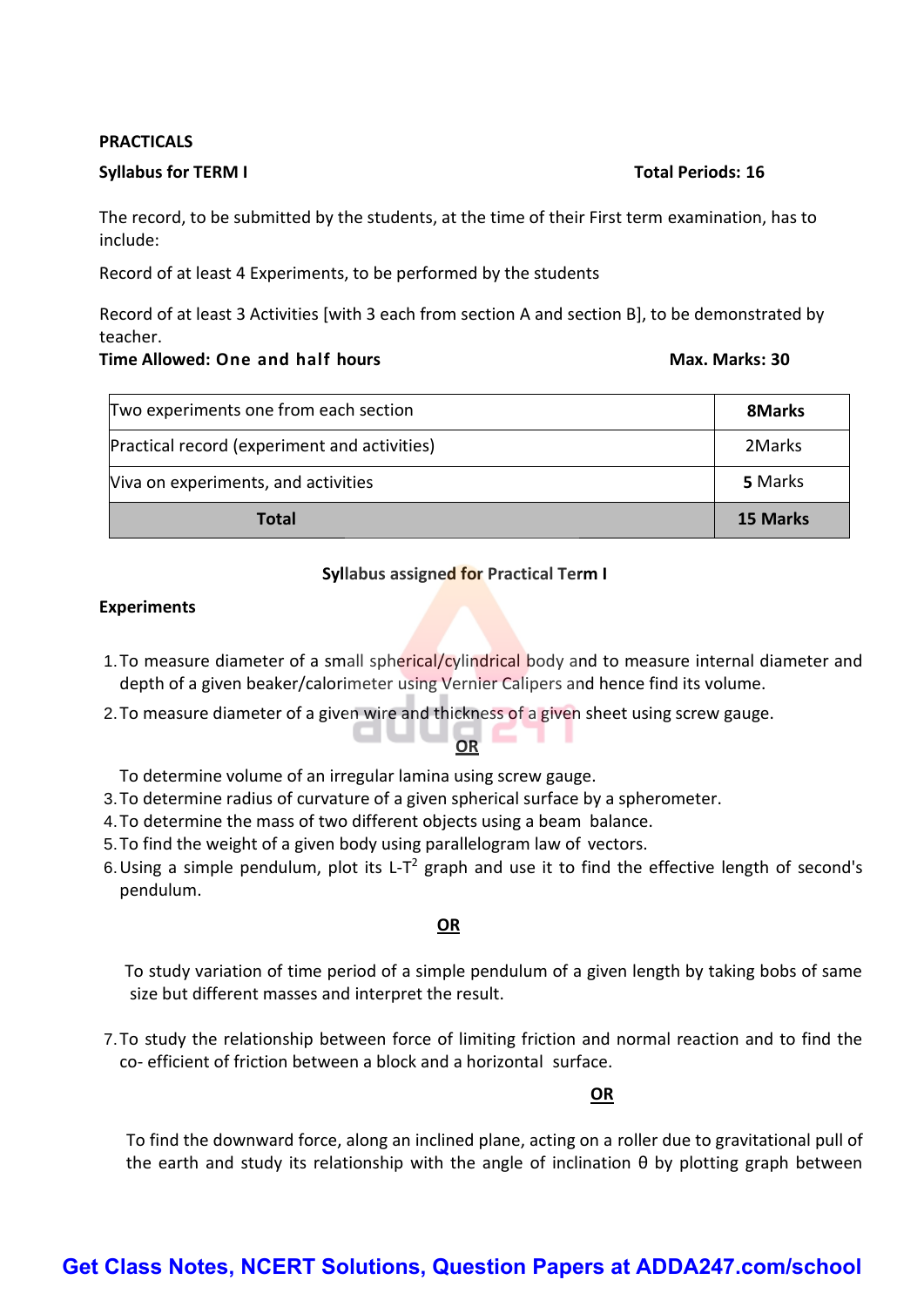# **PRACTICALS**

# **Syllabus for TERM I Total Periods: 16**

The record, to be submitted by the students, at the time of their First term examination, has to include:

Record of at least 4 Experiments, to be performed by the students

Record of at least 3 Activities [with 3 each from section A and section B], to be demonstrated by teacher.

# **Time Allowed: One and half hours Max. Marks: 30**

| Two experiments one from each section        | <b>8Marks</b>   |
|----------------------------------------------|-----------------|
| Practical record (experiment and activities) | 2Marks          |
| Viva on experiments, and activities          | 5 Marks         |
| <b>Total</b>                                 | <b>15 Marks</b> |

# **Syllabus assigned for Practical Term I**

# **Experiments**

- 1. To measure diameter of a small spherical/cylindrical body and to measure internal diameter and depth of a given beaker/calorimeter using Vernier Calipers and hence find its volume.
- 2.To measure diameter of a given wire and thickness of a given sheet using screw gauge.

# **OR**

To determine volume of an irregular lamina using screw gauge.

- 3.To determine radius of curvature of a given spherical surface by a spherometer.
- 4.To determine the mass of two different objects using a beam balance.
- 5.To find the weight of a given body using parallelogram law of vectors.
- 6. Using a simple pendulum, plot its L-T<sup>2</sup> graph and use it to find the effective length of second's pendulum.

# **OR**

To study variation of time period of a simple pendulum of a given length by taking bobs of same size but different masses and interpret the result.

7.To study the relationship between force of limiting friction and normal reaction and to find the co- efficient of friction between a block and a horizontal surface.

**OR**

To find the downward force, along an inclined plane, acting on a roller due to gravitational pull of the earth and study its relationship with the angle of inclination θ by plotting graph between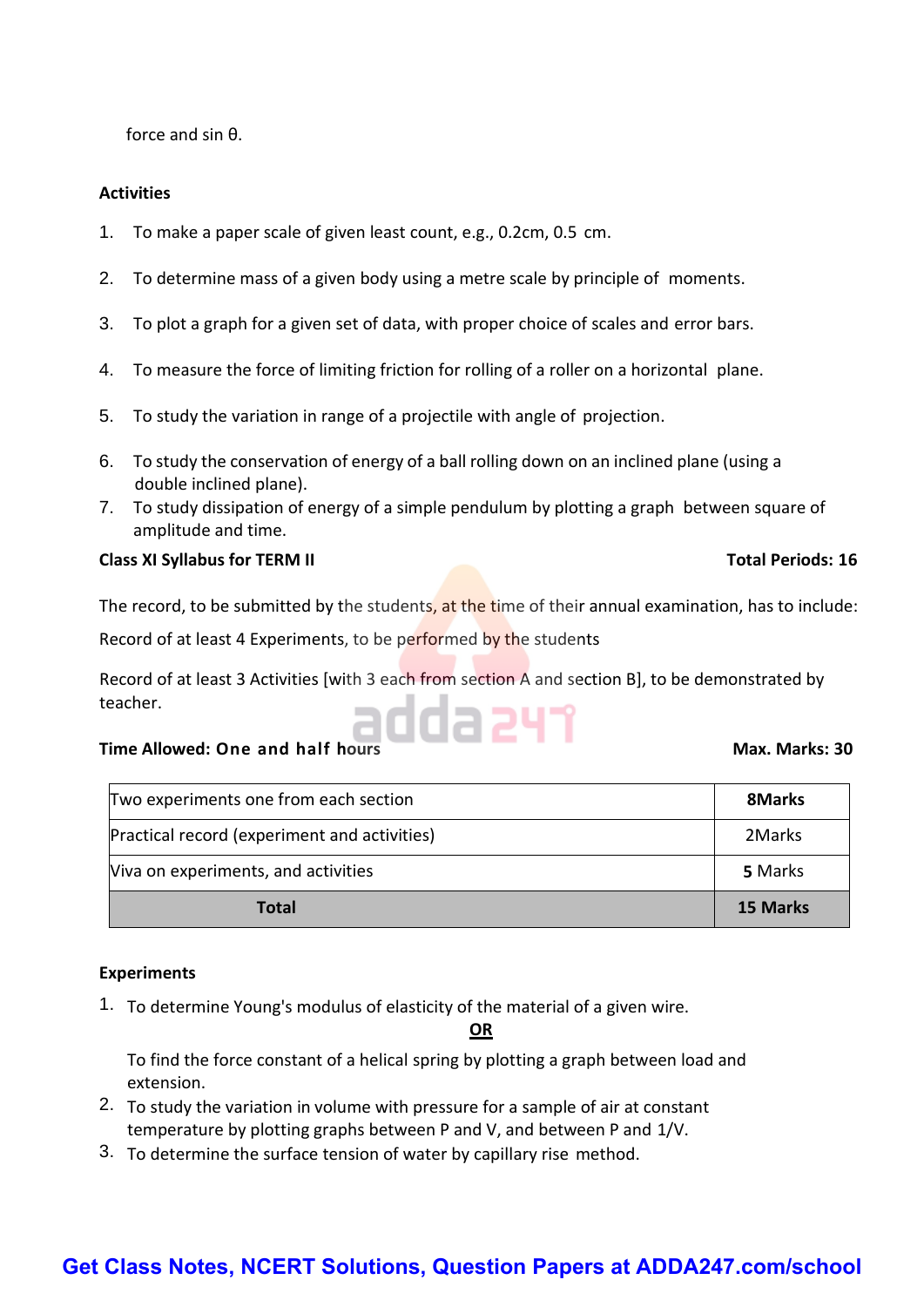force and sin θ.

# **Activities**

- 1. To make a paper scale of given least count, e.g., 0.2cm, 0.5 cm.
- 2. To determine mass of a given body using a metre scale by principle of moments.
- 3. To plot a graph for a given set of data, with proper choice of scales and error bars.
- 4. To measure the force of limiting friction for rolling of a roller on a horizontal plane.
- 5. To study the variation in range of a projectile with angle of projection.
- 6. To study the conservation of energy of a ball rolling down on an inclined plane (using a double inclined plane).
- 7. To study dissipation of energy of a simple pendulum by plotting a graph between square of amplitude and time.

### **Class XI Syllabus for TERM II Total Periods: 16**

### The record, to be submitted by the students, at the time of their annual examination, has to include:

Record of at least 4 Experiments, to be performed by the students

Record of at least 3 Activities [with 3 each from section A and section B], to be demonstrated by teacher. **Time Allowed: One and half hours Max. Marks: 30**



| Two experiments one from each section        | 8Marks   |
|----------------------------------------------|----------|
| Practical record (experiment and activities) | 2Marks   |
| Viva on experiments, and activities          | 5 Marks  |
| Total                                        | 15 Marks |

### **Experiments**

1. To determine Young's modulus of elasticity of the material of a given wire.

# **OR**

To find the force constant of a helical spring by plotting a graph between load and extension.

- 2. To study the variation in volume with pressure for a sample of air at constant temperature by plotting graphs between P and V, and between P and 1/V.
- 3. To determine the surface tension of water by capillary rise method.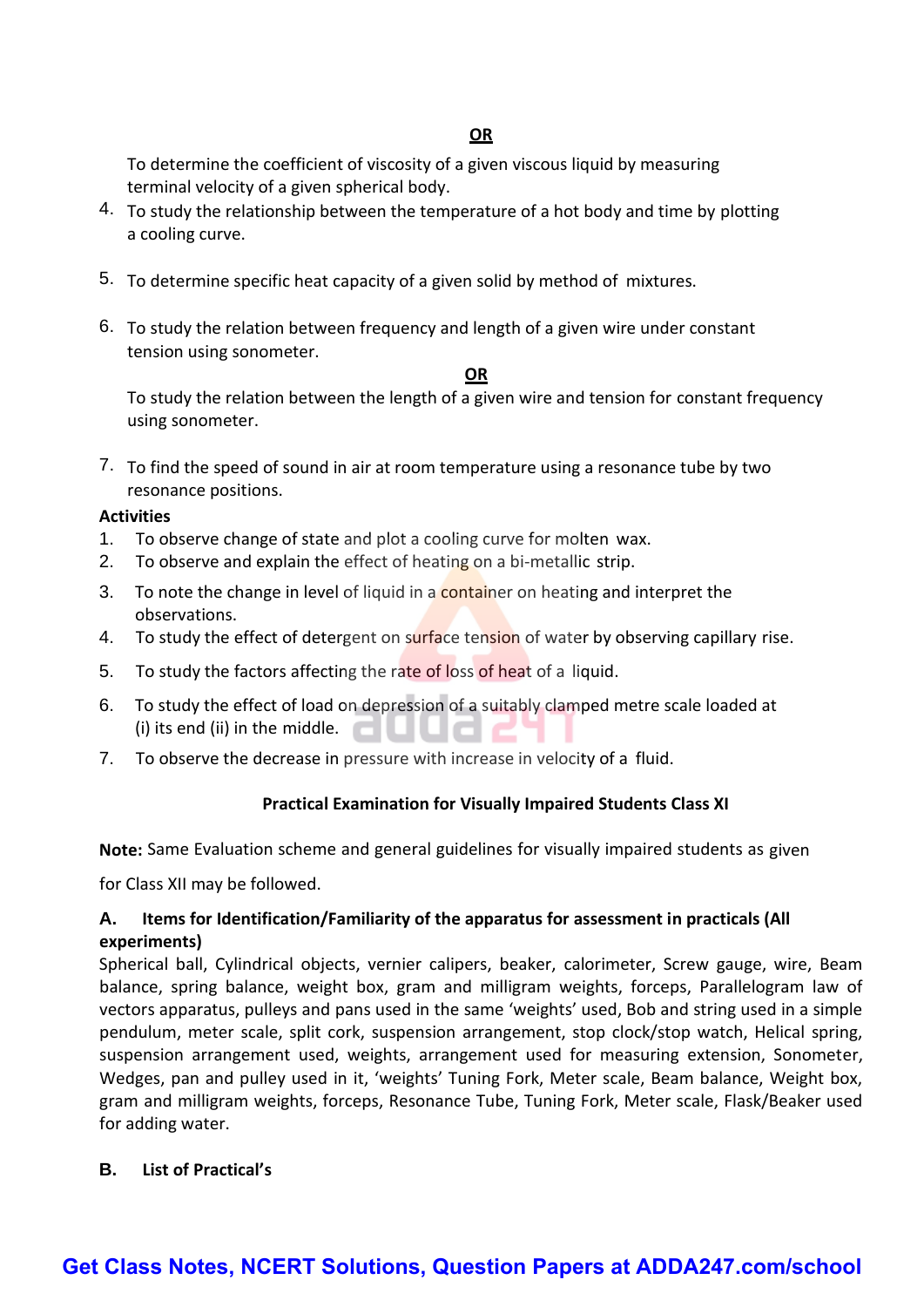To determine the coefficient of viscosity of a given viscous liquid by measuring terminal velocity of a given spherical body.

- 4. To study the relationship between the temperature of a hot body and time by plotting a cooling curve.
- 5. To determine specific heat capacity of a given solid by method of mixtures.
- 6. To study the relation between frequency and length of a given wire under constant tension using sonometer.

# **OR**

To study the relation between the length of a given wire and tension for constant frequency using sonometer.

7. To find the speed of sound in air at room temperature using a resonance tube by two resonance positions.

# **Activities**

- 1. To observe change of state and plot a cooling curve for molten wax.
- 2. To observe and explain the effect of heating on a bi-metallic strip.
- 3. To note the change in level of liquid in a container on heating and interpret the observations.
- 4. To study the effect of detergent on surface tension of water by observing capillary rise.
- 5. To study the factors affecting the rate of loss of heat of a liquid.
- 6. To study the effect of load on depression of a suitably clamped metre scale loaded at (i) its end (ii) in the middle.  $\Box$
- 7. To observe the decrease in pressure with increase in velocity of a fluid.

# **Practical Examination for Visually Impaired Students Class XI**

**Note:** Same Evaluation scheme and general guidelines for visually impaired students as given

for Class XII may be followed.

# **A. Items for Identification/Familiarity of the apparatus for assessment in practicals (All experiments)**

Spherical ball, Cylindrical objects, vernier calipers, beaker, calorimeter, Screw gauge, wire, Beam balance, spring balance, weight box, gram and milligram weights, forceps, Parallelogram law of vectors apparatus, pulleys and pans used in the same 'weights' used, Bob and string used in a simple pendulum, meter scale, split cork, suspension arrangement, stop clock/stop watch, Helical spring, suspension arrangement used, weights, arrangement used for measuring extension, Sonometer, Wedges, pan and pulley used in it, 'weights' Tuning Fork, Meter scale, Beam balance, Weight box, gram and milligram weights, forceps, Resonance Tube, Tuning Fork, Meter scale, Flask/Beaker used for adding water.

# **B. List of Practical's**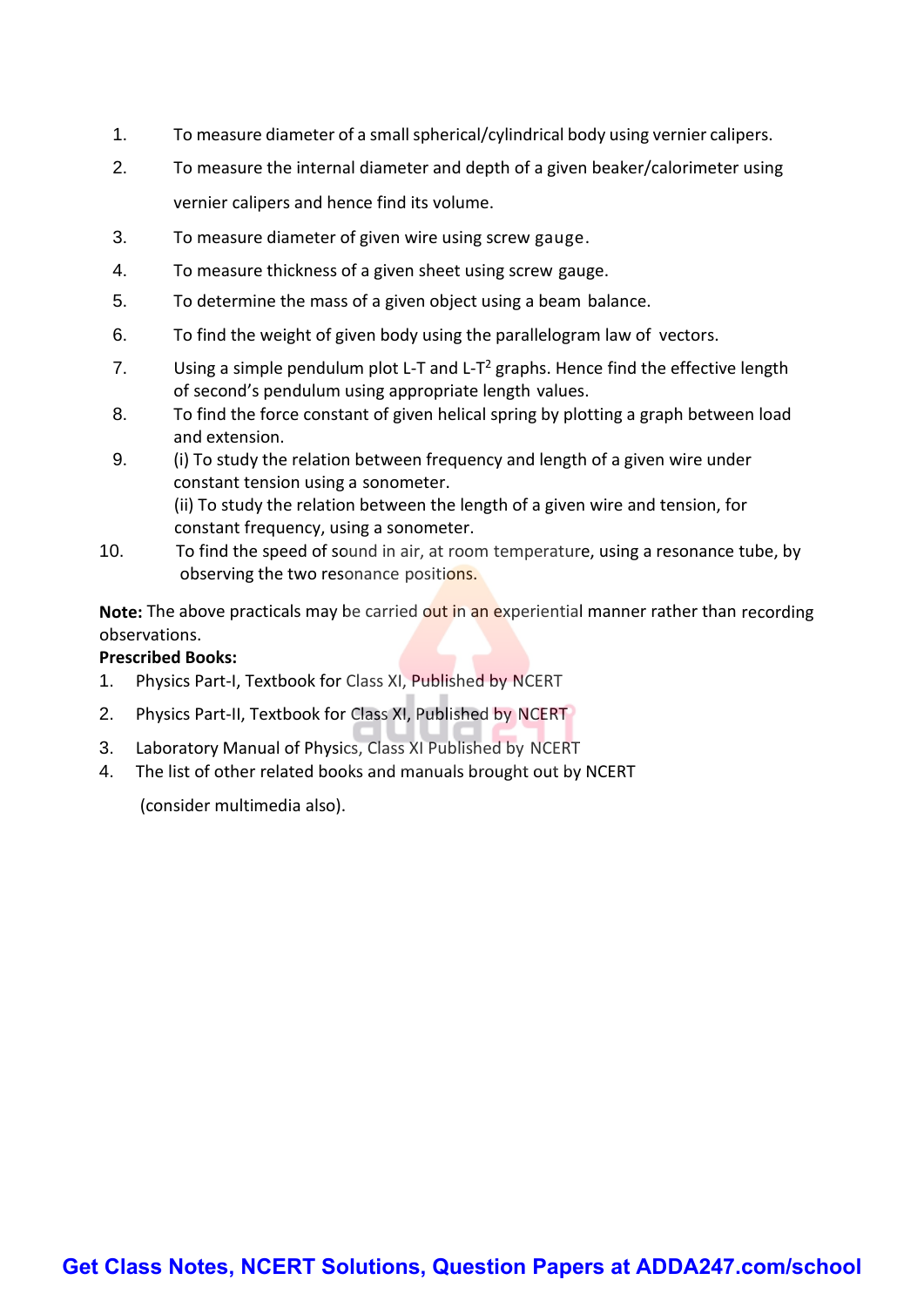- 1. To measure diameter of a small spherical/cylindrical body using vernier calipers.
- 2. To measure the internal diameter and depth of a given beaker/calorimeter using vernier calipers and hence find its volume.
- 3. To measure diameter of given wire using screw gauge.
- 4. To measure thickness of a given sheet using screw gauge.
- 5. To determine the mass of a given object using a beam balance.
- 6. To find the weight of given body using the parallelogram law of vectors.
- 7. Using a simple pendulum plot L-T and L-T<sup>2</sup> graphs. Hence find the effective length of second's pendulum using appropriate length values.
- 8. To find the force constant of given helical spring by plotting a graph between load and extension.
- 9. (i) To study the relation between frequency and length of a given wire under constant tension using a sonometer. (ii) To study the relation between the length of a given wire and tension, for constant frequency, using a sonometer.
- 10. To find the speed of sound in air, at room temperature, using a resonance tube, by observing the two resonance positions.

Note: The above practicals may be carried out in an experiential manner rather than recording observations.

### **Prescribed Books:**

- 1. Physics Part-I, Textbook for Class XI, Published by NCERT
- 2. Physics Part-II, Textbook for Class XI, Published by NCERT
- 3. Laboratory Manual of Physics, Class XI Published by NCERT
- 4. The list of other related books and manuals brought out by NCERT

(consider multimedia also).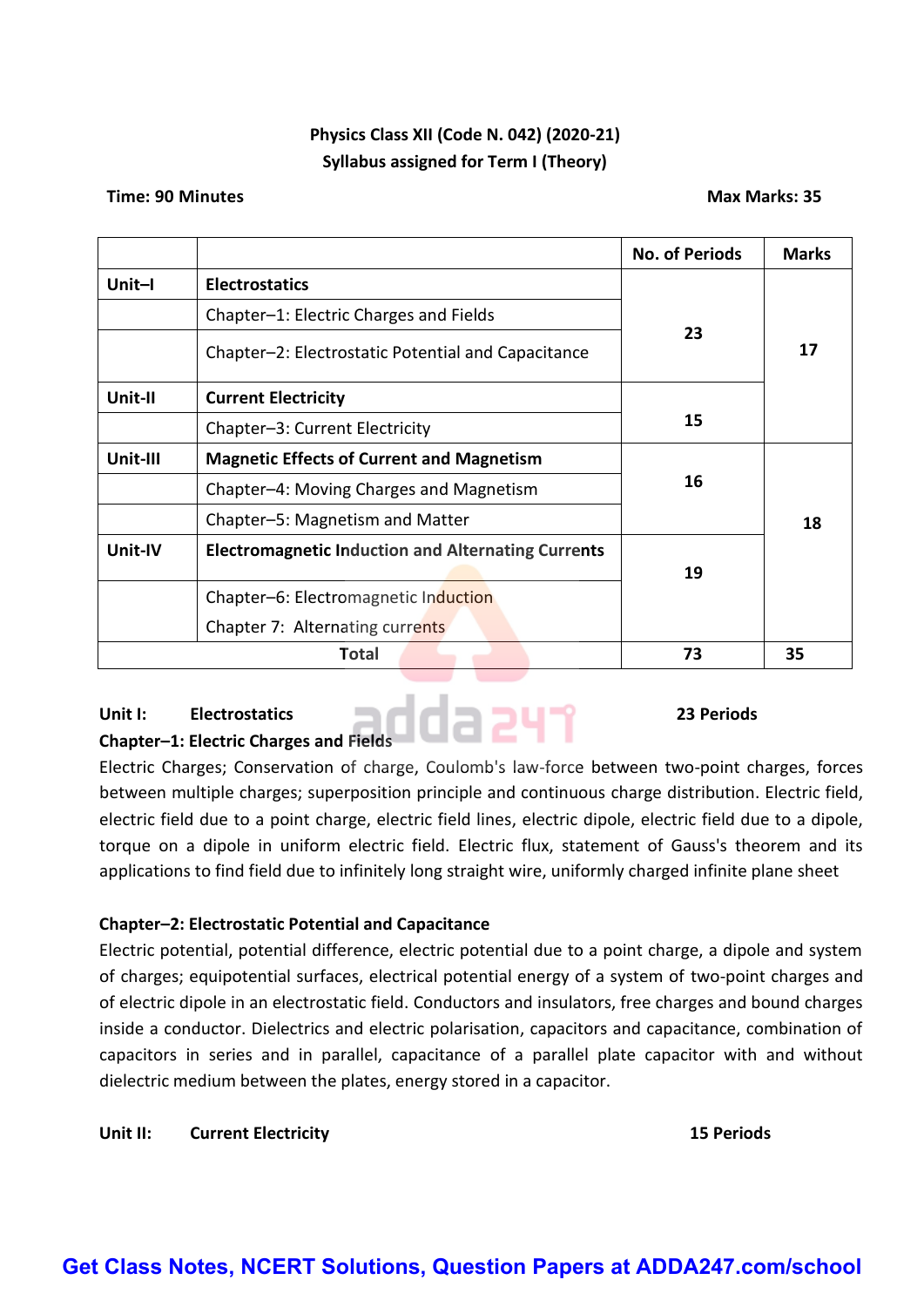# **Physics Class XII (Code N. 042) (2020-21) Syllabus assigned for Term I (Theory)**

### **Time: 90 Minutes Max Marks: 35**

|          |                                                           | <b>No. of Periods</b> | <b>Marks</b> |
|----------|-----------------------------------------------------------|-----------------------|--------------|
| Unit-I   | <b>Electrostatics</b>                                     |                       |              |
|          | Chapter-1: Electric Charges and Fields                    |                       |              |
|          | Chapter-2: Electrostatic Potential and Capacitance        | 23                    | 17           |
| Unit-II  | <b>Current Electricity</b>                                |                       |              |
|          | Chapter-3: Current Electricity                            | 15                    |              |
| Unit-III | <b>Magnetic Effects of Current and Magnetism</b>          |                       |              |
|          | Chapter-4: Moving Charges and Magnetism                   | 16                    |              |
|          | Chapter-5: Magnetism and Matter                           |                       | 18           |
| Unit-IV  | <b>Electromagnetic Induction and Alternating Currents</b> | 19                    |              |
|          | Chapter-6: Electromagnetic Induction                      |                       |              |
|          | Chapter 7: Alternating currents                           |                       |              |
|          | <b>Total</b>                                              | 73                    | 35           |

# Unit I: Electrostatics **23** Periods<br>Chanter–1: Electric Charges and Fields **Chapter–1: Electric Charges and Fields**

Electric Charges; Conservation of charge, Coulomb's law-force between two-point charges, forces between multiple charges; superposition principle and continuous charge distribution. Electric field, electric field due to a point charge, electric field lines, electric dipole, electric field due to a dipole, torque on a dipole in uniform electric field. Electric flux, statement of Gauss's theorem and its applications to find field due to infinitely long straight wire, uniformly charged infinite plane sheet

# **Chapter–2: Electrostatic Potential and Capacitance**

Electric potential, potential difference, electric potential due to a point charge, a dipole and system of charges; equipotential surfaces, electrical potential energy of a system of two-point charges and of electric dipole in an electrostatic field. Conductors and insulators, free charges and bound charges inside a conductor. Dielectrics and electric polarisation, capacitors and capacitance, combination of capacitors in series and in parallel, capacitance of a parallel plate capacitor with and without dielectric medium between the plates, energy stored in a capacitor.

**Unit II: Current Electricity 15 Periods**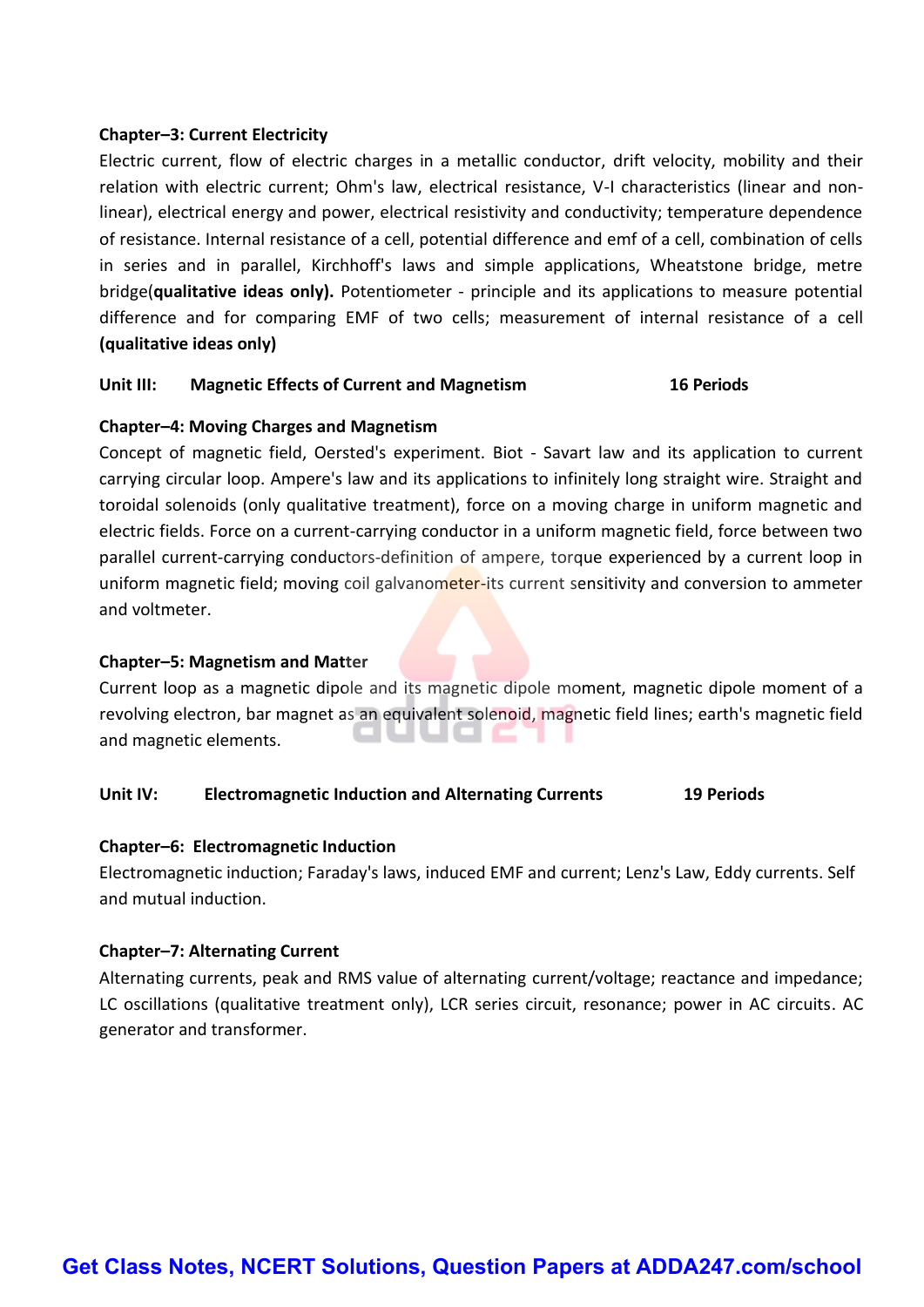# **Chapter–3: Current Electricity**

Electric current, flow of electric charges in a metallic conductor, drift velocity, mobility and their relation with electric current; Ohm's law, electrical resistance, V-I characteristics (linear and nonlinear), electrical energy and power, electrical resistivity and conductivity; temperature dependence of resistance. Internal resistance of a cell, potential difference and emf of a cell, combination of cells in series and in parallel, Kirchhoff's laws and simple applications, Wheatstone bridge, metre bridge(**qualitative ideas only).** Potentiometer - principle and its applications to measure potential difference and for comparing EMF of two cells; measurement of internal resistance of a cell **(qualitative ideas only)**

# **Unit III: Magnetic Effects of Current and Magnetism 16 Periods**

# **Chapter–4: Moving Charges and Magnetism**

Concept of magnetic field, Oersted's experiment. Biot - Savart law and its application to current carrying circular loop. Ampere's law and its applications to infinitely long straight wire. Straight and toroidal solenoids (only qualitative treatment), force on a moving charge in uniform magnetic and electric fields. Force on a current-carrying conductor in a uniform magnetic field, force between two parallel current-carrying conductors-definition of ampere, torque experienced by a current loop in uniform magnetic field; moving coil galvanometer-its current sensitivity and conversion to ammeter and voltmeter.

# **Chapter–5: Magnetism and Matter**

Current loop as a magnetic dipole and its magnetic dipole moment, magnetic dipole moment of a revolving electron, bar magnet as an equivalent solenoid, magnetic field lines; earth's magnetic field ----**Contract Contract** and magnetic elements.

# **Unit IV: Electromagnetic Induction and Alternating Currents 19 Periods**

# **Chapter–6: Electromagnetic Induction**

Electromagnetic induction; Faraday's laws, induced EMF and current; Lenz's Law, Eddy currents. Self and mutual induction.

# **Chapter–7: Alternating Current**

Alternating currents, peak and RMS value of alternating current/voltage; reactance and impedance; LC oscillations (qualitative treatment only), LCR series circuit, resonance; power in AC circuits. AC generator and transformer.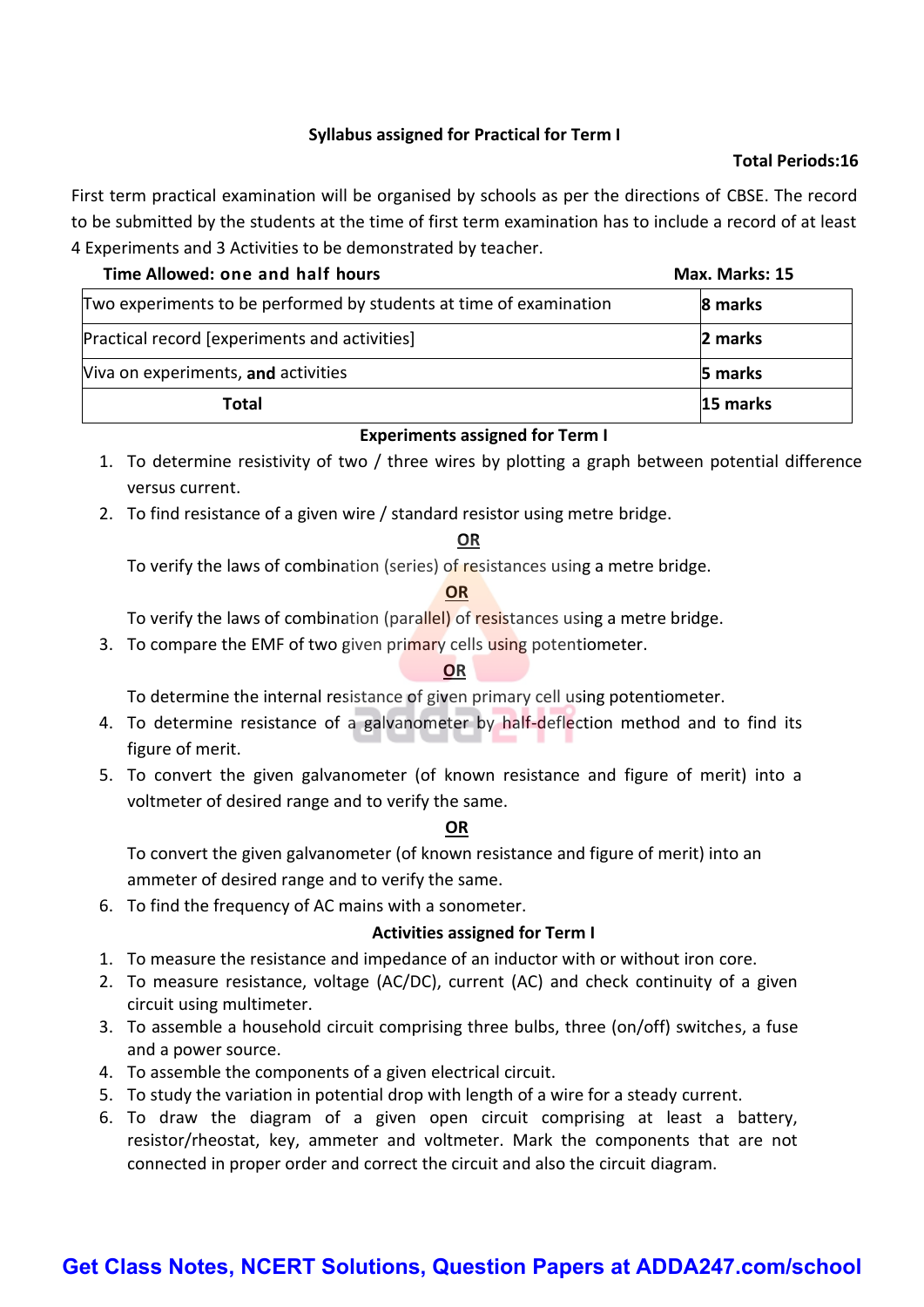# **Syllabus assigned for Practical for Term I**

## **Total Periods:16**

First term practical examination will be organised by schools as per the directions of CBSE. The record to be submitted by the students at the time of first term examination has to include a record of at least 4 Experiments and 3 Activities to be demonstrated by teacher.

| Time Allowed: one and half hours                                   | Max. Marks: 15 |  |
|--------------------------------------------------------------------|----------------|--|
| Two experiments to be performed by students at time of examination | 8 marks        |  |
| Practical record [experiments and activities]                      | 2 marks        |  |
| Viva on experiments, and activities                                | 5 marks        |  |
| Total                                                              | 15 marks       |  |

# **Experiments assigned for Term I**

- 1. To determine resistivity of two / three wires by plotting a graph between potential difference versus current.
- 2. To find resistance of a given wire / standard resistor using metre bridge.

# **OR**

To verify the laws of combination (series) of resistances using a metre bridge.

# **OR**

To verify the laws of combination (parallel) of resistances using a metre bridge.

3. To compare the EMF of two given primary cells using potentiometer.

# **OR**

To determine the internal resistance of given primary cell using potentiometer.

- 4. To determine resistance of a galvanometer by half-deflection method and to find its figure of merit.
- 5. To convert the given galvanometer (of known resistance and figure of merit) into a voltmeter of desired range and to verify the same.

# **OR**

To convert the given galvanometer (of known resistance and figure of merit) into an ammeter of desired range and to verify the same.

6. To find the frequency of AC mains with a sonometer.

# **Activities assigned for Term I**

- 1. To measure the resistance and impedance of an inductor with or without iron core.
- 2. To measure resistance, voltage (AC/DC), current (AC) and check continuity of a given circuit using multimeter.
- 3. To assemble a household circuit comprising three bulbs, three (on/off) switches, a fuse and a power source.
- 4. To assemble the components of a given electrical circuit.
- 5. To study the variation in potential drop with length of a wire for a steady current.
- 6. To draw the diagram of a given open circuit comprising at least a battery, resistor/rheostat, key, ammeter and voltmeter. Mark the components that are not connected in proper order and correct the circuit and also the circuit diagram.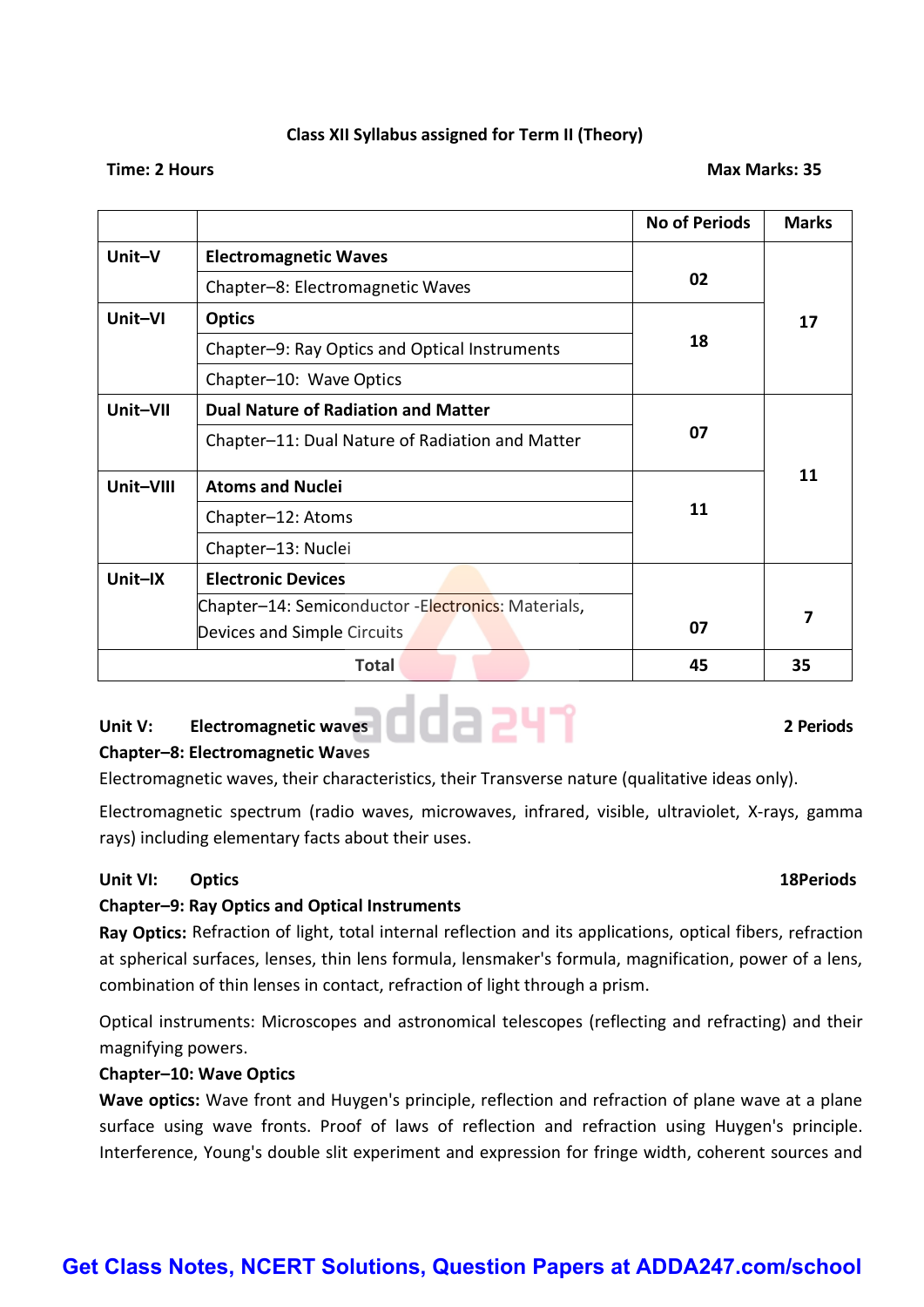# **Class XII Syllabus assigned for Term II (Theory)**

### **Time: 2 Hours Max Marks: 35**

|           |                                                    | <b>No of Periods</b> | <b>Marks</b> |
|-----------|----------------------------------------------------|----------------------|--------------|
| Unit-V    | <b>Electromagnetic Waves</b>                       |                      |              |
|           | Chapter-8: Electromagnetic Waves                   | 02                   |              |
| Unit-VI   | <b>Optics</b>                                      |                      | 17           |
|           | Chapter-9: Ray Optics and Optical Instruments      | 18                   |              |
|           | Chapter-10: Wave Optics                            |                      |              |
| Unit-VII  | <b>Dual Nature of Radiation and Matter</b>         |                      |              |
|           | Chapter-11: Dual Nature of Radiation and Matter    | 07                   |              |
| Unit-VIII | <b>Atoms and Nuclei</b>                            |                      | 11           |
|           | Chapter-12: Atoms                                  | 11                   |              |
|           | Chapter-13: Nuclei                                 |                      |              |
| Unit-IX   | <b>Electronic Devices</b>                          |                      |              |
|           | Chapter-14: Semiconductor -Electronics: Materials, |                      | 7            |
|           | Devices and Simple Circuits                        | 07                   |              |
|           | <b>Total</b>                                       | 45                   | 35           |

# **Unit V: Electromagnetic waves 2 Periods 2 Periods**

# **Chapter–8: Electromagnetic Waves**

Electromagnetic waves, their characteristics, their Transverse nature (qualitative ideas only).

Electromagnetic spectrum (radio waves, microwaves, infrared, visible, ultraviolet, X-rays, gamma rays) including elementary facts about their uses.

# **Unit VI: Optics 18Periods**

# **Chapter–9: Ray Optics and Optical Instruments**

**Ray Optics:** Refraction of light, total internal reflection and its applications, optical fibers, refraction at spherical surfaces, lenses, thin lens formula, lensmaker's formula, magnification, power of a lens, combination of thin lenses in contact, refraction of light through a prism.

Optical instruments: Microscopes and astronomical telescopes (reflecting and refracting) and their magnifying powers.

# **Chapter–10: Wave Optics**

**Wave optics:** Wave front and Huygen's principle, reflection and refraction of plane wave at a plane surface using wave fronts. Proof of laws of reflection and refraction using Huygen's principle. Interference, Young's double slit experiment and expression for fringe width, coherent sources and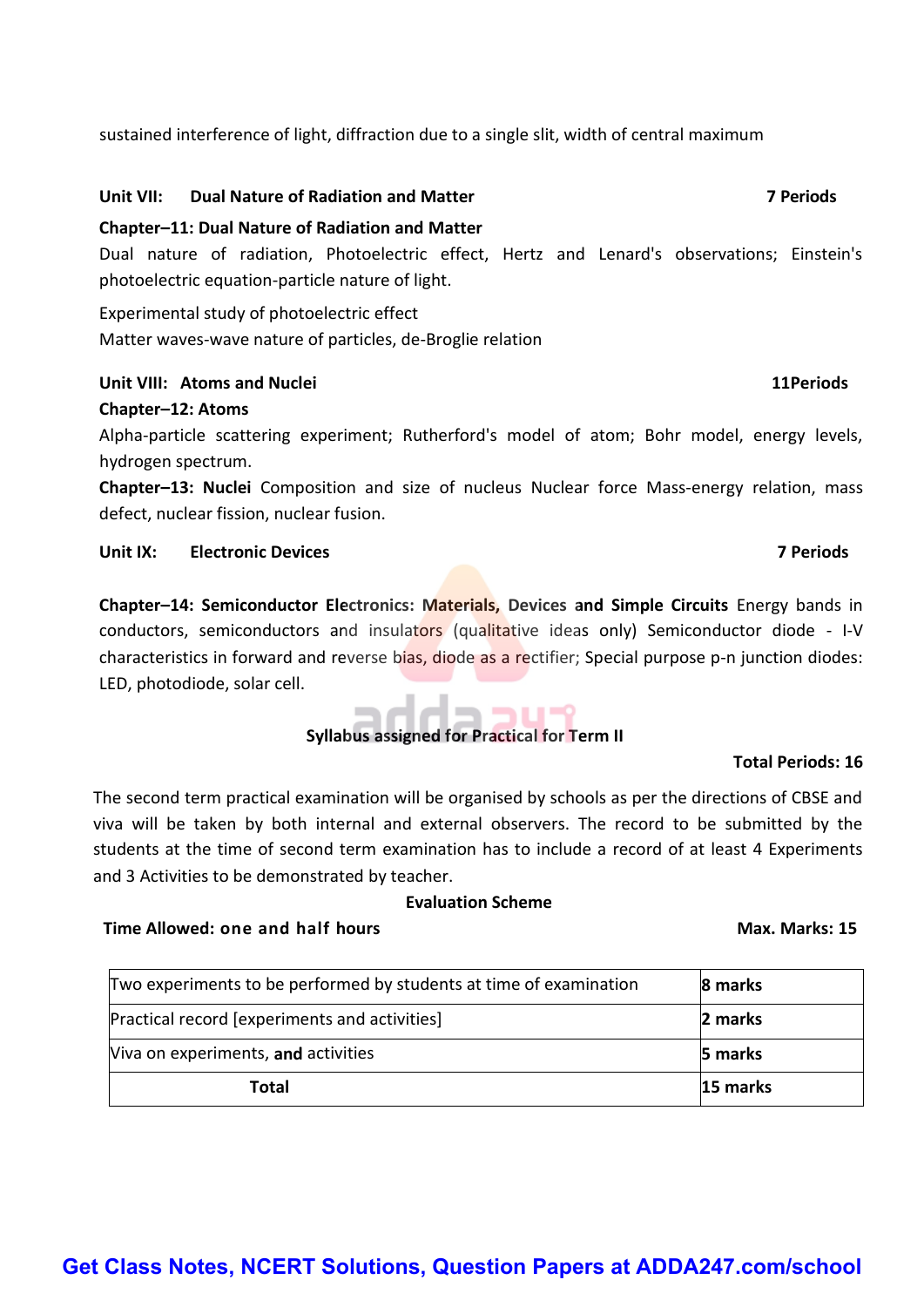sustained interference of light, diffraction due to a single slit, width of central maximum

# **Unit VII: Dual Nature of Radiation and Matter 7 Periods**

# **Chapter–11: Dual Nature of Radiation and Matter**

Dual nature of radiation, Photoelectric effect, Hertz and Lenard's observations; Einstein's photoelectric equation-particle nature of light.

Experimental study of photoelectric effect

Matter waves-wave nature of particles, de-Broglie relation

# **Unit VIII: Atoms and Nuclei 11Periods**

# **Chapter–12: Atoms**

Alpha-particle scattering experiment; Rutherford's model of atom; Bohr model, energy levels, hydrogen spectrum.

**Chapter–13: Nuclei** Composition and size of nucleus Nuclear force Mass-energy relation, mass defect, nuclear fission, nuclear fusion.

# **Unit IX: Electronic Devices 7 Periods**

**Chapter–14: Semiconductor Electronics: Materials, Devices and Simple Circuits** Energy bands in conductors, semiconductors and insulators (qualitative ideas only) Semiconductor diode - I-V characteristics in forward and reverse bias, diode as a rectifier; Special purpose p-n junction diodes: LED, photodiode, solar cell.

# ruc chhc **Syllabus assigned for Practical for Term II**

### **Total Periods: 16**

The second term practical examination will be organised by schools as per the directions of CBSE and viva will be taken by both internal and external observers. The record to be submitted by the students at the time of second term examination has to include a record of at least 4 Experiments and 3 Activities to be demonstrated by teacher.

# **Evaluation Scheme**

# **Time Allowed: one and half hours Max. Marks: 15**

Two experiments to be performed by students at time of examination **8 marks** Practical record [experiments and activities] **2 marks** Viva on experiments, **and** activities **5 marks Total 15 marks**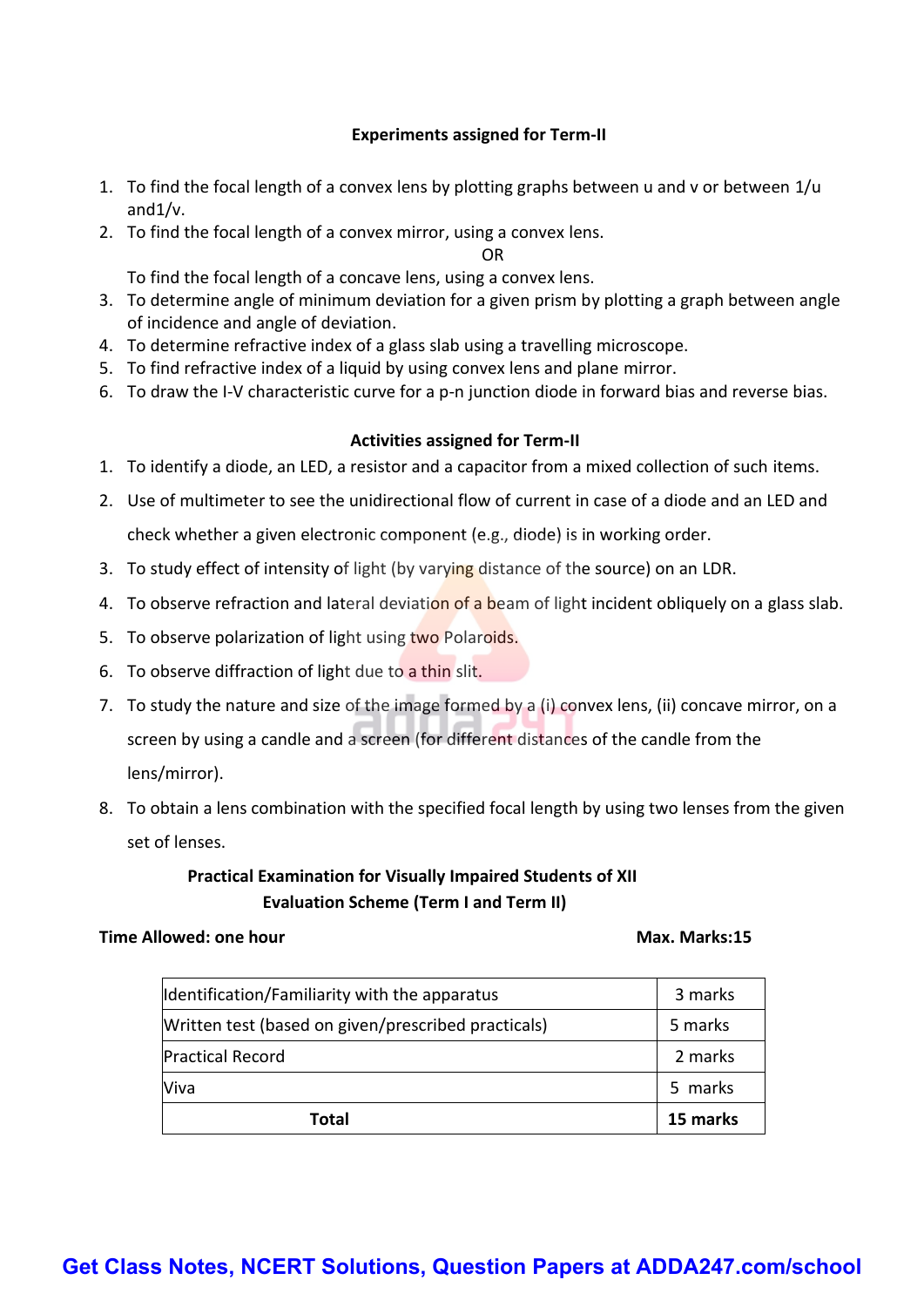# **Experiments assigned for Term-II**

- 1. To find the focal length of a convex lens by plotting graphs between u and v or between  $1/u$ and1/v.
- 2. To find the focal length of a convex mirror, using a convex lens.

OR

To find the focal length of a concave lens, using a convex lens.

- 3. To determine angle of minimum deviation for a given prism by plotting a graph between angle of incidence and angle of deviation.
- 4. To determine refractive index of a glass slab using a travelling microscope.
- 5. To find refractive index of a liquid by using convex lens and plane mirror.
- 6. To draw the I-V characteristic curve for a p-n junction diode in forward bias and reverse bias.

# **Activities assigned for Term-II**

- 1. To identify a diode, an LED, a resistor and a capacitor from a mixed collection of such items.
- 2. Use of multimeter to see the unidirectional flow of current in case of a diode and an LED and check whether a given electronic component (e.g., diode) is in working order.
- 3. To study effect of intensity of light (by varying distance of the source) on an LDR.
- 4. To observe refraction and lateral deviation of a beam of light incident obliquely on a glass slab.
- 5. To observe polarization of light using two Polaroids.
- 6. To observe diffraction of light due to a thin slit.
- 7. To study the nature and size of the image formed by a (i) convex lens, (ii) concave mirror, on a screen by using a candle and a screen (for different distances of the candle from the lens/mirror).
- 8. To obtain a lens combination with the specified focal length by using two lenses from the given set of lenses.

# **Practical Examination for Visually Impaired Students of XII Evaluation Scheme (Term I and Term II)**

# **Time Allowed: one hour Max. Marks:15**

| Identification/Familiarity with the apparatus       | 3 marks  |
|-----------------------------------------------------|----------|
| Written test (based on given/prescribed practicals) | 5 marks  |
| <b>Practical Record</b>                             | 2 marks  |
| Viva                                                | 5 marks  |
| Total                                               | 15 marks |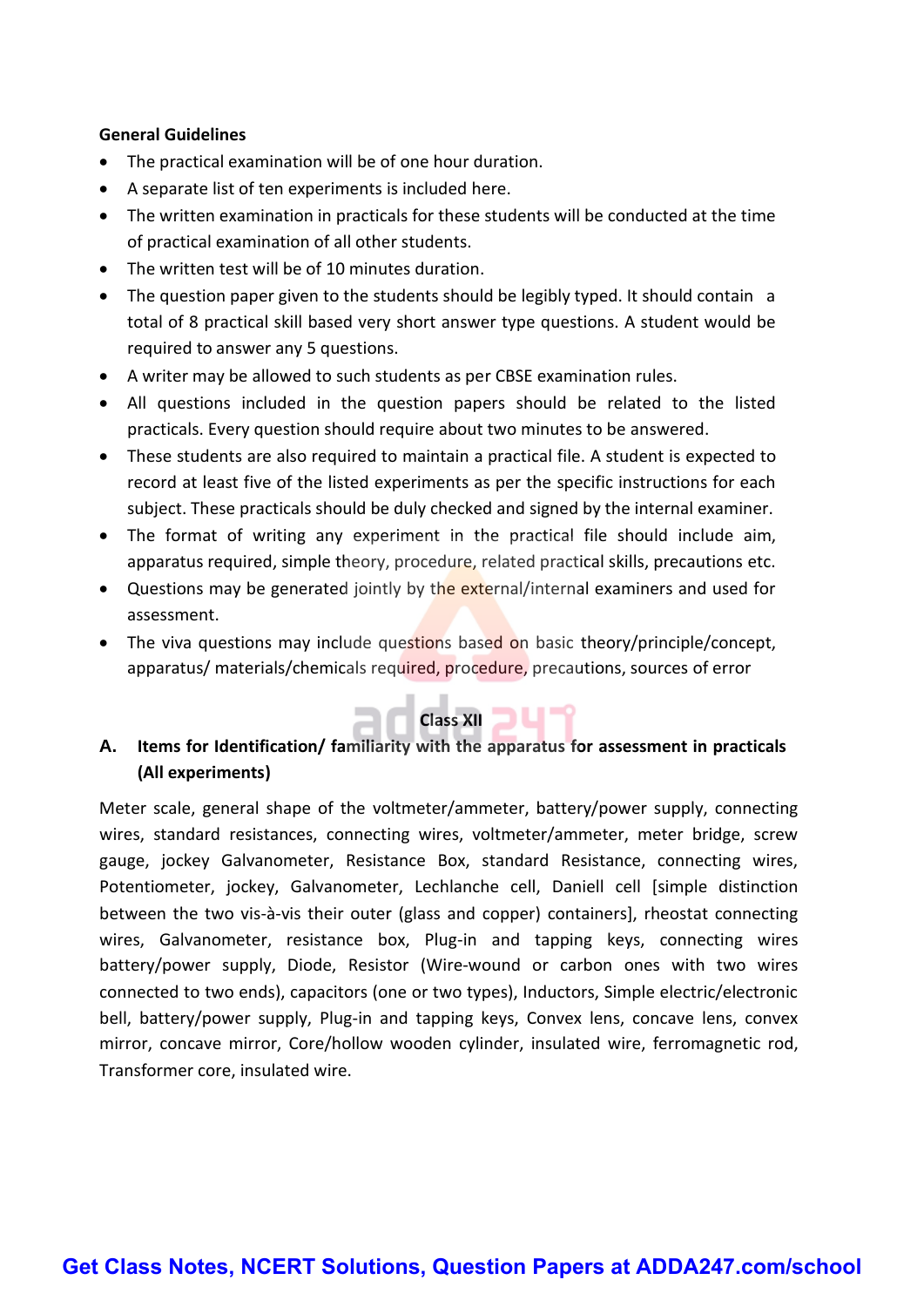# **General Guidelines**

- The practical examination will be of one hour duration.
- A separate list of ten experiments is included here.
- The written examination in practicals for these students will be conducted at the time of practical examination of all other students.
- The written test will be of 10 minutes duration.
- The question paper given to the students should be legibly typed. It should contain a total of 8 practical skill based very short answer type questions. A student would be required to answer any 5 questions.
- A writer may be allowed to such students as per CBSE examination rules.
- All questions included in the question papers should be related to the listed practicals. Every question should require about two minutes to be answered.
- These students are also required to maintain a practical file. A student is expected to record at least five of the listed experiments as per the specific instructions for each subject. These practicals should be duly checked and signed by the internal examiner.
- The format of writing any experiment in the practical file should include aim, apparatus required, simple theory, procedure, related practical skills, precautions etc.
- Questions may be generated jointly by the external/internal examiners and used for assessment.
- The viva questions may include questions based on basic theory/principle/concept, apparatus/ materials/chemicals required, procedure, precautions, sources of error

# **Class XII**

# **A. Items for Identification/ familiarity with the apparatus for assessment in practicals (All experiments)**

Meter scale, general shape of the voltmeter/ammeter, battery/power supply, connecting wires, standard resistances, connecting wires, voltmeter/ammeter, meter bridge, screw gauge, jockey Galvanometer, Resistance Box, standard Resistance, connecting wires, Potentiometer, jockey, Galvanometer, Lechlanche cell, Daniell cell [simple distinction between the two vis-à-vis their outer (glass and copper) containers], rheostat connecting wires, Galvanometer, resistance box, Plug-in and tapping keys, connecting wires battery/power supply, Diode, Resistor (Wire-wound or carbon ones with two wires connected to two ends), capacitors (one or two types), Inductors, Simple electric/electronic bell, battery/power supply, Plug-in and tapping keys, Convex lens, concave lens, convex mirror, concave mirror, Core/hollow wooden cylinder, insulated wire, ferromagnetic rod, Transformer core, insulated wire.